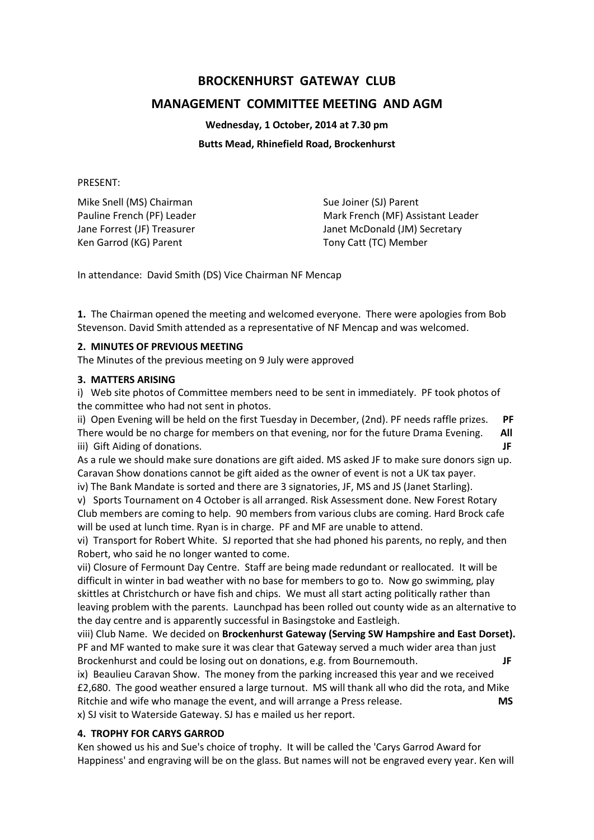# **BROCKENHURST GATEWAY CLUB**

# **MANAGEMENT COMMITTEE MEETING AND AGM**

**Wednesday, 1 October, 2014 at 7.30 pm**

#### **Butts Mead, Rhinefield Road, Brockenhurst**

#### PRESENT:

Mike Snell (MS) Chairman Sue Joiner (SJ) Parent Ken Garrod (KG) Parent Tony Catt (TC) Member

Pauline French (PF) Leader Mark French (MF) Assistant Leader Jane Forrest (JF) Treasurer The McDonald (JM) Secretary

In attendance: David Smith (DS) Vice Chairman NF Mencap

**1.** The Chairman opened the meeting and welcomed everyone. There were apologies from Bob Stevenson. David Smith attended as a representative of NF Mencap and was welcomed.

#### **2. MINUTES OF PREVIOUS MEETING**

The Minutes of the previous meeting on 9 July were approved

#### **3. MATTERS ARISING**

i) Web site photos of Committee members need to be sent in immediately. PF took photos of the committee who had not sent in photos.

ii) Open Evening will be held on the first Tuesday in December, (2nd). PF needs raffle prizes. **PF** There would be no charge for members on that evening, nor for the future Drama Evening. **All** iii) Gift Aiding of donations. **JF**

As a rule we should make sure donations are gift aided. MS asked JF to make sure donors sign up. Caravan Show donations cannot be gift aided as the owner of event is not a UK tax payer.

iv) The Bank Mandate is sorted and there are 3 signatories, JF, MS and JS (Janet Starling).

v) Sports Tournament on 4 October is all arranged. Risk Assessment done. New Forest Rotary Club members are coming to help. 90 members from various clubs are coming. Hard Brock cafe will be used at lunch time. Ryan is in charge. PF and MF are unable to attend.

vi) Transport for Robert White. SJ reported that she had phoned his parents, no reply, and then Robert, who said he no longer wanted to come.

vii) Closure of Fermount Day Centre. Staff are being made redundant or reallocated. It will be difficult in winter in bad weather with no base for members to go to. Now go swimming, play skittles at Christchurch or have fish and chips. We must all start acting politically rather than leaving problem with the parents. Launchpad has been rolled out county wide as an alternative to the day centre and is apparently successful in Basingstoke and Eastleigh.

viii) Club Name. We decided on **Brockenhurst Gateway (Serving SW Hampshire and East Dorset).** PF and MF wanted to make sure it was clear that Gateway served a much wider area than just Brockenhurst and could be losing out on donations, e.g. from Bournemouth. **JF**

ix) Beaulieu Caravan Show. The money from the parking increased this year and we received £2,680. The good weather ensured a large turnout. MS will thank all who did the rota, and Mike Ritchie and wife who manage the event, and will arrange a Press release. **MS** x) SJ visit to Waterside Gateway. SJ has e mailed us her report.

#### **4. TROPHY FOR CARYS GARROD**

Ken showed us his and Sue's choice of trophy. It will be called the 'Carys Garrod Award for Happiness' and engraving will be on the glass. But names will not be engraved every year. Ken will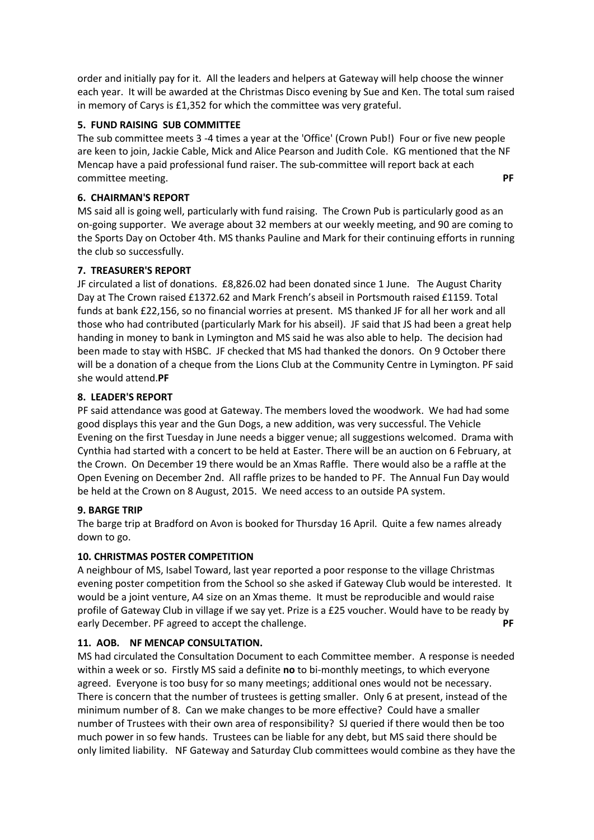order and initially pay for it. All the leaders and helpers at Gateway will help choose the winner each year. It will be awarded at the Christmas Disco evening by Sue and Ken. The total sum raised in memory of Carys is £1,352 for which the committee was very grateful.

### **5. FUND RAISING SUB COMMITTEE**

The sub committee meets 3 -4 times a year at the 'Office' (Crown Pub!) Four or five new people are keen to join, Jackie Cable, Mick and Alice Pearson and Judith Cole. KG mentioned that the NF Mencap have a paid professional fund raiser. The sub-committee will report back at each committee meeting. **PF**

### **6. CHAIRMAN'S REPORT**

MS said all is going well, particularly with fund raising. The Crown Pub is particularly good as an on-going supporter. We average about 32 members at our weekly meeting, and 90 are coming to the Sports Day on October 4th. MS thanks Pauline and Mark for their continuing efforts in running the club so successfully.

### **7. TREASURER'S REPORT**

JF circulated a list of donations. £8,826.02 had been donated since 1 June. The August Charity Day at The Crown raised £1372.62 and Mark French's abseil in Portsmouth raised £1159. Total funds at bank £22,156, so no financial worries at present. MS thanked JF for all her work and all those who had contributed (particularly Mark for his abseil). JF said that JS had been a great help handing in money to bank in Lymington and MS said he was also able to help. The decision had been made to stay with HSBC. JF checked that MS had thanked the donors. On 9 October there will be a donation of a cheque from the Lions Club at the Community Centre in Lymington. PF said she would attend.**PF**

### **8. LEADER'S REPORT**

PF said attendance was good at Gateway. The members loved the woodwork. We had had some good displays this year and the Gun Dogs, a new addition, was very successful. The Vehicle Evening on the first Tuesday in June needs a bigger venue; all suggestions welcomed. Drama with Cynthia had started with a concert to be held at Easter. There will be an auction on 6 February, at the Crown. On December 19 there would be an Xmas Raffle. There would also be a raffle at the Open Evening on December 2nd. All raffle prizes to be handed to PF. The Annual Fun Day would be held at the Crown on 8 August, 2015. We need access to an outside PA system.

#### **9. BARGE TRIP**

The barge trip at Bradford on Avon is booked for Thursday 16 April. Quite a few names already down to go.

## **10. CHRISTMAS POSTER COMPETITION**

A neighbour of MS, Isabel Toward, last year reported a poor response to the village Christmas evening poster competition from the School so she asked if Gateway Club would be interested. It would be a joint venture, A4 size on an Xmas theme. It must be reproducible and would raise profile of Gateway Club in village if we say yet. Prize is a £25 voucher. Would have to be ready by early December. PF agreed to accept the challenge. **PF**

## **11. AOB. NF MENCAP CONSULTATION.**

MS had circulated the Consultation Document to each Committee member. A response is needed within a week or so. Firstly MS said a definite **no** to bi-monthly meetings, to which everyone agreed. Everyone is too busy for so many meetings; additional ones would not be necessary. There is concern that the number of trustees is getting smaller. Only 6 at present, instead of the minimum number of 8. Can we make changes to be more effective? Could have a smaller number of Trustees with their own area of responsibility? SJ queried if there would then be too much power in so few hands. Trustees can be liable for any debt, but MS said there should be only limited liability. NF Gateway and Saturday Club committees would combine as they have the